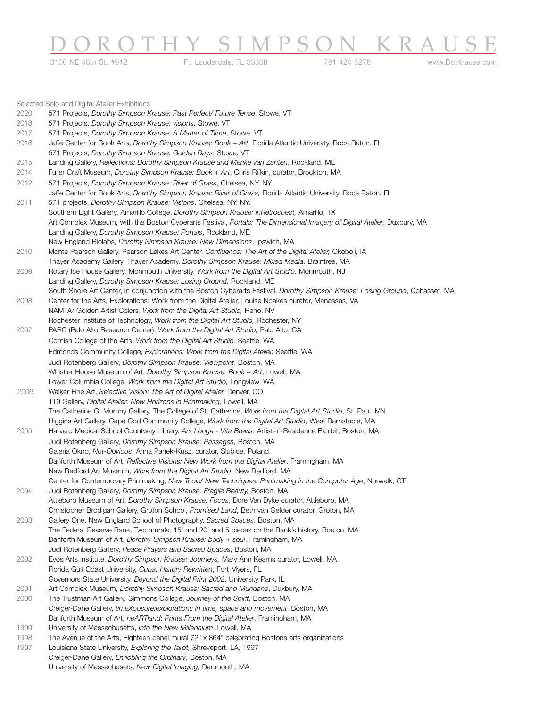# <u>DOROTHY SIMPSON KRAUSE</u>

3100 NE 48th St. #912 Ft. Lauderdale, FL 33308 781 424 5276 www.DotKrause.com

|      | Selected Solo and Digital Atelier Exhibitions                                                                                  |
|------|--------------------------------------------------------------------------------------------------------------------------------|
| 2020 | 571 Projects, Dorothy Simpson Krause: Past Perfect/ Future Tense, Stowe, VT                                                    |
| 2018 | 571 Projects, Dorothy Simpson Krause: visions, Stowe, VT                                                                       |
| 2017 | 571 Projects, Dorothy Simpson Krause: A Matter of Tlime, Stowe, VT                                                             |
| 2016 | Jaffe Center for Book Arts, Dorothy Simpson Krause: Book + Art, Florida Atlantic University, Boca Raton, FL                    |
|      | 571 Projects, Dorothy Simpson Krause: Golden Days, Stowe, VT                                                                   |
| 2015 | Landing Gallery, Reflections: Dorothy Simpson Krause and Merike van Zanten, Rockland, ME                                       |
| 2014 | Fuller Craft Museum, Dorothy Simpson Krause: Book + Art, Chris Rifkin, curator, Brockton, MA                                   |
| 2012 | 571 Projects, Dorothy Simpson Krause: River of Grass, Chelsea, NY, NY                                                          |
|      | Jaffe Center for Book Arts, Dorothy Simpson Krause: River of Grass, Florida Atlantic University, Boca Raton, FL                |
| 2011 | 571 projects, Dorothy Simpson Krause: Visions, Chelsea, NY, NY.                                                                |
|      | Southern Light Gallery, Amarillo College, Dorothy Simpson Krause: inRetrospect, Amarillo, TX                                   |
|      | Art Complex Museum, with the Boston Cyberarts Festival, Portals: The Dimensional Imagery of Digital Atelier, Duxbury, MA       |
|      | Landing Gallery, Dorothy Simpson Krause: Portals, Rockland, ME                                                                 |
|      | New England Biolabs, Dorothy Simpson Krause: New Dimensions, Ipswich, MA                                                       |
| 2010 | Monte Pearson Gallery, Pearson Lakes Art Center, Confluence: The Art of the Digital Atelier, Okoboji, IA                       |
|      | Thayer Academy Gallery, Thayer Academy. Dorothy Simpson Krause: Mixed Media. Braintree, MA                                     |
| 2009 | Rotary Ice House Gallery, Monmouth University, Work from the Digital Art Studio, Monmouth, NJ                                  |
|      | Landing Gallery, Dorothy Simpson Krause: Losing Ground, Rockland, ME                                                           |
|      | South Shore Art Center, in conjunction with the Boston Cyberarts Festival, Dorothy Simpson Krause: Losing Ground, Cohasset, MA |
| 2008 | Center for the Arts, Explorations: Work from the Digital Atelier, Louise Noakes curator, Manassas, VA                          |
|      | NAMTA/ Golden Artist Colors, Work from the Digital Art Studio, Reno, NV                                                        |
|      | Rochester Institute of Technology, Work from the Digital Art Studio, Rochester, NY                                             |
| 2007 | PARC (Palo Alto Research Center), Work from the Digital Art Studio, Palo Alto, CA                                              |
|      | Cornish College of the Arts, Work from the Digital Art Studio, Seattle, WA                                                     |
|      | Edmonds Community College, Explorations: Work from the Digital Atelier, Seattle, WA                                            |
|      | Judi Rotenberg Gallery, Dorothy Simpson Krause: Viewpoint, Boston, MA                                                          |
|      | Whistler House Museum of Art, Dorothy Simpson Krause: Book + Art, Lowell, MA                                                   |
|      | Lower Columbia College, Work from the Digital Art Studio, Longview, WA                                                         |
| 2006 | Walker Fine Art, Selective Vision: The Art of Digital Atelier, Denver, CO                                                      |
|      | 119 Gallery, Digital Atelier: New Horizons in Printmaking, Lowell, MA                                                          |
|      | The Catherine G. Murphy Gallery, The College of St. Catherine, Work from the Digital Art Studio, St. Paul, MN                  |
|      | Higgins Art Gallery, Cape Cod Community College, Work from the Digital Art Studio, West Barnstable, MA                         |
| 2005 | Harvard Medical School Countway Library, Ars Longa - Vita Brevis, Artist-in-Residence Exhibit, Boston, MA                      |
|      | Judi Rotenberg Gallery, Dorothy Simpson Krause: Passages, Boston, MA                                                           |
|      | Galeria Okno, Not-Obvious, Anna Panek-Kusz, curator, Slubice, Poland                                                           |
|      | Danforth Museum of Art, Reflective Visions: New Work from the Digital Atelier, Framingham, MA                                  |
|      | New Bedford Art Museum, Work from the Digital Art Studio, New Bedford, MA                                                      |
|      | Center for Contemporary Printmaking, New Tools/ New Techniques: Printmaking in the Computer Age, Norwalk, CT                   |
| 2004 | Judi Rotenberg Gallery, Dorothy Simpson Krause: Fragile Beauty, Boston, MA                                                     |
|      | Attleboro Museum of Art, Dorothy Simpson Krause: Focus, Dore Van Dyke curator, Attleboro, MA                                   |
|      | Christopher Brodigan Gallery, Groton School, Promised Land, Beth van Gelder curator, Groton, MA                                |
| 2003 | Gallery One, New England School of Photography, Sacred Spaces, Boston, MA                                                      |
|      | The Federal Reserve Bank, Two murals, 15' and 20' and 5 pieces on the Bank's history, Boston, MA                               |
|      | Danforth Museum of Art, Dorothy Simpson Krause: body + soul, Framingham, MA                                                    |
|      | Judi Rotenberg Gallery, Peace Prayers and Sacred Spaces, Boston, MA                                                            |
| 2002 | Evos Arts Institute, Dorothy Simpson Krause: Journeys, Mary Ann Kearns curator, Lowell, MA                                     |
|      | Florida Gulf Coast University, Cuba: History Rewritten, Fort Myers, FL                                                         |
|      | Governors State University, Beyond the Digital Print 2002, University Park, IL                                                 |
| 2001 | Art Complex Museum, Dorothy Simpson Krause: Sacred and Mundane, Duxbury, MA                                                    |
| 2000 | The Trustman Art Gallery, Simmons College, Journey of the Spirit, Boston, MA                                                   |
|      | Creiger-Dane Gallery, timeXposure: explorations in time, space and movement, Boston, MA                                        |
|      | Danforth Museum of Art, heARTland: Prints From the Digital Atelier, Framingham, MA                                             |
| 1999 | University of Massachusetts, Into the New Millennium, Lowell, MA                                                               |
| 1998 | The Avenue of the Arts, Eighteen panel mural 72" x 864" celebrating Bostons arts organizations                                 |
| 1997 | Louisiana State University, Exploring the Tarot, Shreveport, LA, 1997                                                          |
|      | Creiger-Dane Gallery, Ennobling the Ordinary, Boston, MA                                                                       |
|      | University of Massachusets, New Digital Imaging, Dartmouth, MA                                                                 |
|      |                                                                                                                                |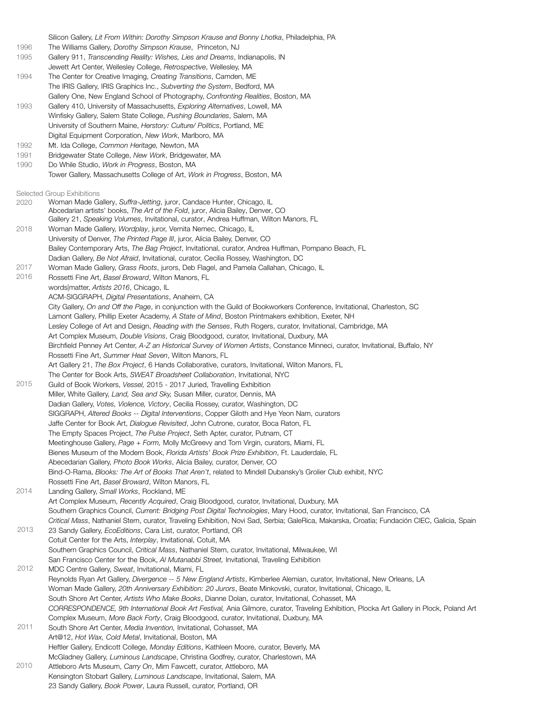Silicon Gallery, *Lit From Within: Dorothy Simpson Krause and Bonny Lhotka*, Philadelphia, PA

1996 The Williams Gallery, *Dorothy Simpson Krause*, Princeton, NJ

1995 Gallery 911, *Transcending Reality: Wishes, Lies and Dreams*, Indianapolis, IN

- Jewett Art Center, Wellesley College, *Retrospective*, Wellesley, MA
- 1994 The Center for Creative Imaging, *Creating Transitions*, Camden, ME The IRIS Gallery, IRIS Graphics Inc., *Subverting the System*, Bedford, MA Gallery One, New England School of Photography, *Confronting Realities*, Boston, MA
- 1993 Gallery 410, University of Massachusetts, *Exploring Alternatives*, Lowell, MA Winfisky Gallery, Salem State College, *Pushing Boundaries*, Salem, MA University of Southern Maine, *Herstory: Culture/ Politics*, Portland, ME Digital Equipment Corporation, *New Work*, Marlboro, MA
- 1992 Mt. Ida College, *Common Heritage,* Newton, MA
- 1991 Bridgewater State College, *New Work*, Bridgewater, MA
- 1990 Do While Studio, *Work in Progress*, Boston, MA
	- Tower Gallery, Massachusetts College of Art, *Work in Progress*, Boston, MA

Selected Group Exhibitions

2018 2017 2016 2015 2014 2013 2012 2011 2010 Woman Made Gallery, *Suffra-Jetting*, juror, Candace Hunter, Chicago, IL Abcedarian artists' books, *The Art of the Fold*, juror, Alicia Bailey, Denver, CO Gallery 21, *Speaking Volumes*, Invitational, curator, Andrea Huffman, Wilton Manors, FL Woman Made Gallery, *Wordplay*, juror, Vernita Nemec, Chicago, IL University of Denver, *The Printed Page III*, juror, Alicia Bailey, Denver, CO Bailey Contemporary Arts, *The Bag Project*, Invitational, curator, Andrea Huffman, Pompano Beach, FL Dadian Gallery, *Be Not Afraid*, Invitational, curator, Cecilia Rossey, Washington, DC Woman Made Gallery, *Grass Roots*, jurors, Deb Flagel, and Pamela Callahan, Chicago, IL Rossetti Fine Art, *Basel Broward*, Wilton Manors, FL words|matter, *Artists 2016*, Chicago, IL ACM-SIGGRAPH, *Digital Presentations*, Anaheim, CA City Gallery, *On and Off the Page*, in conjunction with the Guild of Bookworkers Conference, Invitational, Charleston, SC Lamont Gallery, Phillip Exeter Academy, *A State of Mind*, Boston Printmakers exhibition, Exeter, NH Lesley College of Art and Design, *Reading with the Senses*, Ruth Rogers, curator, Invitational, Cambridge, MA Art Complex Museum, *Double Visions*, Craig Bloodgood, curator, Invitational, Duxbury, MA Birchfield Penney Art Center, *A-Z an Historical Survey of Women Artists*, Constance Minneci, curator, Invitational, Buffalo, NY Rossetti Fine Art, *Summer Heat Seven*, Wilton Manors, FL Art Gallery 21, *The Box Project*, 6 Hands Collaborative, curators, Invitational, Wilton Manors, FL The Center for Book Arts, *SWEAT Broadsheet Collaboration*, Invitational, NYC Guild of Book Workers, *Vessel,* 2015 - 2017 Juried, Travelling Exhibition Miller, White Gallery, *Land, Sea and Sky,* Susan Miller, curator, Dennis, MA Dadian Gallery, *Votes, Violence, Victory*, Cecilia Rossey, curator, Washington, DC SIGGRAPH, *Altered Books -- Digital Interventions*, Copper Giloth and Hye Yeon Nam, curators Jaffe Center for Book Art, *Dialogue Revisited*, John Cutrone, curator, Boca Raton, FL The Empty Spaces Project, *The Pulse Project*, Seth Apter, curator, Putnam, CT Meetinghouse Gallery, *Page + Form,* Molly McGreevy and Tom Virgin, curators, Miami, FL Bienes Museum of the Modern Book, *Florida Artists' Book Prize Exhibition*, Ft. Lauderdale, FL Abecedarian Gallery, *Photo Book Works*, Alicia Bailey, curator, Denver, CO Bind-O-Rama, *Blooks: The Art of Books That Aren't*, related to Mindell Dubansky's Grolier Club exhibit, NYC Rossetti Fine Art, *Basel Broward*, Wilton Manors, FL Landing Gallery, *Small Works*, Rockland, ME Art Complex Museum, *Recently Acquired*, Craig Bloodgood, curator, Invitational, Duxbury, MA Southern Graphics Council, *Current: Bridging Post Digital Technologies*, Mary Hood, curator, Invitational, San Francisco, CA *Critical Mass*, Nathaniel Stern, curator, Traveling Exhibition, Novi Sad, Serbia; GaleRica, Makarska, Croatia; Fundación CIEC, Galicia, Spain 23 Sandy Gallery, *EcoEditions*, Cara List, curator, Portland, OR Cotuit Center for the Arts, *Interplay*, Invitational, Cotuit, MA Southern Graphics Council, *Critical Mass*, Nathaniel Stern, curator, Invitational, Milwaukee, WI San Francisco Center for the Book, *Al Mutanabbi Street,* Invitational, Traveling Exhibition MDC Centre Gallery, *Sweat*, Invitational, Miami, FL Reynolds Ryan Art Gallery, *Divergence -- 5 New England Artists*, Kimberlee Alemian, curator, Invitational, New Orleans, LA Woman Made Gallery, *20th Anniversary Exhibition: 20 Jurors*, Beate Minkovski, curator, Invitational, Chicago, IL South Shore Art Center, *Artists Who Make Books*, Dianne Dolan, curator, Invitational, Cohasset, MA *CORRESPONDENCE, 9th International Book Art Festival,* Ania Gilmore, curator, Traveling Exhibition, Plocka Art Gallery in Plock, Poland Art Complex Museum, *More Back Forty*, Craig Bloodgood, curator, Invitational, Duxbury, MA South Shore Art Center, *Media Invention,* Invitational, Cohasset, MA Art@12, *Hot Wax, Cold Metal*, Invitational, Boston, MA Heftler Gallery, Endicott College, *Monday Editions*, Kathleen Moore, curator, Beverly, MA McGladney Gallery, *Luminous Landscape*, Christina Godfrey, curator, Charlestown, MA Attleboro Arts Museum, *Carry On*, Mim Fawcett, curator, Attleboro, MA Kensington Stobart Gallery, *Luminous Landscape*, Invitational, Salem, MA 23 Sandy Gallery, *Book Power*, Laura Russell, curator, Portland, OR 2020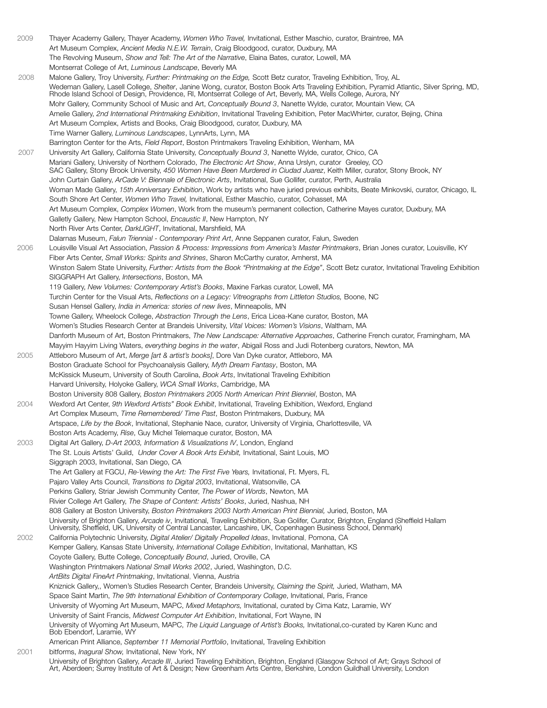2009 Thayer Academy Gallery, Thayer Academy, *Women Who Travel,* Invitational, Esther Maschio, curator, Braintree, MA Art Museum Complex, *Ancient Media N.E.W. Terrain*, Craig Bloodgood, curator, Duxbury, MA The Revolving Museum, *Show and Tell: The Art of the Narrative*, Elaina Bates, curator, Lowell, MA Montserrat College of Art, *Luminous Landscape*, Beverly MA 2008 Malone Gallery, Troy University, *Further: Printmaking on the Edge,* Scott Betz curator, Traveling Exhibition, Troy, AL Wedeman Gallery, Lasell College, *Shelter*, Janine Wong, curator, Boston Book Arts Traveling Exhibition, Pyramid Atlantic, Silver Spring, MD, Rhode Island School of Design, Providence, RI, Montserrat College of Art, Beverly, MA, Wells College, Aurora, NY Mohr Gallery, Community School of Music and Art, *Conceptually Bound 3*, Nanette Wylde, curator, Mountain View, CA Amelie Gallery, *2nd International Printmaking Exhibition*, Invitational Traveling Exhibition, Peter MacWhirter, curator, Bejing, China Art Museum Complex, Artists and Books, Craig Bloodgood, curator, Duxbury, MA Time Warner Gallery, *Luminous Landscapes*, LynnArts, Lynn, MA Barrington Center for the Arts, *Field Report*, Boston Printmakers Traveling Exhibition, Wenham, MA 2007 University Art Gallery, California State University, *Conceptually Bound 3*, Nanette Wylde, curator, Chico, CA Mariani Gallery, University of Northern Colorado, *The Electronic Art Show*, Anna Urslyn, curator Greeley, CO SAC Gallery, Stony Brook University, *450 Women Have Been Murdered in Ciudad Juarez*, Keith Miller, curator, Stony Brook, NY John Curtain Gallery, *ArCade V: Biennale of Electronic Arts*, Invitational, Sue Gollifer, curator, Perth, Australia Woman Made Gallery, *15th Anniversary Exhibition*, Work by artists who have juried previous exhibits, Beate Minkovski, curator, Chicago, IL South Shore Art Center, *Women Who Travel,* Invitational, Esther Maschio, curator, Cohasset, MA Art Museum Complex, *Complex Women*, Work from the museum's permanent collection, Catherine Mayes curator, Duxbury, MA Galletly Gallery, New Hampton School, *Encaustic II*, New Hampton, NY North River Arts Center, *DarkLIGHT*, Invitational, Marshfield, MA Dalarnas Museum, *Falun Triennial - Contemporary Print Art*, Anne Seppanen curator, Falun, Sweden 2006 Louisville Visual Art Association, *Passion & Process: Impressions from America's Master Printmakers*, Brian Jones curator, Louisville, KY Fiber Arts Center, *Small Works: Spirits and Shrines*, Sharon McCarthy curator, Amherst, MA Winston Salem State University, *Further: Artists from the Book "Printmaking at the Edge"*, Scott Betz curator, Invitational Traveling Exhibition SIGGRAPH Art Gallery, *Intersections*, Boston, MA 119 Gallery, *New Volumes: Contemporary Artist's Books*, Maxine Farkas curator, Lowell, MA Turchin Center for the Visual Arts, *Reflections on a Legacy: Vitreographs from Littleton Studios,* Boone, NC Susan Hensel Gallery, *India in America: stories of new lives*, Minneapolis, MN Towne Gallery, Wheelock College, *Abstraction Through the Lens*, Erica Licea-Kane curator, Boston, MA Women's Studies Research Center at Brandeis University, *Vital Voices: Women's Visions*, Waltham, MA Danforth Museum of Art, Boston Printmakers, *The New Landscape: Alternative Approaches*, Catherine French curator, Framingham, MA Mayyim Hayyim Living Waters, *everything begins in the water*, Abigail Ross and Judi Rotenberg curators, Newton, MA 2005 Attleboro Museum of Art, *Merge [art & artist's books]*, Dore Van Dyke curator, Attleboro, MA Boston Graduate School for Psychoanalysis Gallery, *Myth Dream Fantasy*, Boston, MA McKissick Museum, University of South Carolina, *Book Arts*, Invitational Traveling Exhibition Harvard University, Holyoke Gallery, *WCA Small Works*, Cambridge, MA Boston University 808 Gallery, *Boston Printmakers 2005 North American Print Bienniel*, Boston, MA 2004 Wexford Art Center, *9th Wexford Artists" Book Exhibit*, Invitational, Traveling Exhibition, Wexford, England Art Complex Museum, *Time Remembered/ Time Past*, Boston Printmakers, Duxbury, MA Artspace, *Life by the Book*, Invitational, Stephanie Nace, curator, University of Virginia, Charlottesville, VA Boston Arts Academy, *Rise*, Guy Michel Telemaque curator, Boston, MA 2003 Digital Art Gallery, *D-Art 2003, Information & Visualizations IV*, London, England The St. Louis Artists' Guild, *Under Cover A Book Arts Exhibit,* Invitational, Saint Louis, MO Siggraph 2003, Invitational, San Diego, CA The Art Gallery at FGCU, *Re-Vewing the Art: The First Five Years,* Invitational, Ft. Myers, FL Pajaro Valley Arts Council, *Transitions to Digital 2003*, Invitational, Watsonville, CA Perkins Gallery, Striar Jewish Community Center, *The Power of Words*, Newton, MA Rivier College Art Gallery, *The Shape of Content: Artists' Books*, Juried, Nashua, NH 808 Gallery at Boston University, *Boston Printmakers 2003 North American Print Biennial,* Juried, Boston, MA University of Brighton Gallery, *Arcade iv*, Invitational, Traveling Exhibition, Sue Golifer, Curator, Brighton, England (Sheffield Hallam University, Sheffield, UK, University of Central Lancaster, Lancashire, UK, Copenhagen Business School, Denmark) 2002 California Polytechnic University, *Digital Atelier/ Digitally Propelled Ideas*, Invitational, Pomona, CA Kemper Gallery, Kansas State University, *International Collage Exhibition*, Invitational, Manhattan, KS Coyote Gallery, Butte College, *Conceptually Bound*, Juried, Oroville, CA Washington Printmakers *National Small Works 2002*, Juried, Washington, D.C. *ArtBits Digital FineArt Printmaking*, Invitational, Vienna, Austria Kniznick Gallery,, Women's Studies Research Center, Brandeis University, *Claiming the Spirit,* Juried, Wlatham, MA Space Saint Martin, *The 9th International Exhibition of Contemporary Collage*, Invitational, Paris, France University of Wyoming Art Museum, MAPC, *Mixed Metaphors,* Invitational, curated by Cima Katz, Laramie, WY University of Saint Francis, *Midwest Computer Art Exhibition*, Invitational, Fort Wayne, IN University of Wyoming Art Museum, MAPC, *The Liquid Language of Artist's Books,* Invitational,co-curated by Karen Kunc and Bob Ebendorf, Laramie, WY American Print Alliance, *September 11 Memorial Portfolio*, Invitational, Traveling Exhibition 2001 bitforms, *Inagural Show,* Invitational, New York, NY University of Brighton Gallery, *Arcade III*, Juried Traveling Exhibition, Brighton, England (Glasgow School of Art; Grays School of Art, Aberdeen; Surrey Institute of Art & Design; New Greenham Arts Centre, Berkshire, London Guildhall University, London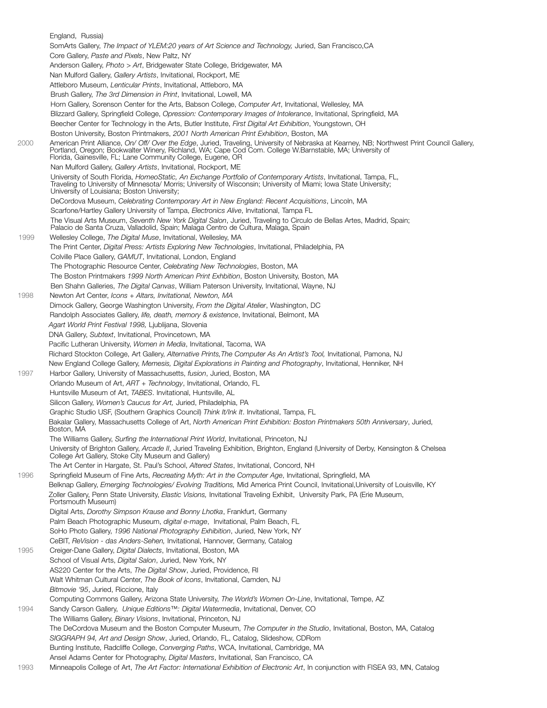England, Russia) SomArts Gallery, *The Impact of YLEM:20 years of Art Science and Technology,* Juried, San Francisco,CA Core Gallery, *Paste and Pixels*, New Paltz, NY Anderson Gallery, *Photo > Art*, Bridgewater State College, Bridgewater, MA Nan Mulford Gallery, *Gallery Artists*, Invitational, Rockport, ME Attleboro Museum, *Lenticular Prints*, Invitational, Attleboro, MA Brush Gallery, *The 3rd Dimension in Print*, Invitational, Lowell, MA Horn Gallery, Sorenson Center for the Arts, Babson College, *Computer Art*, Invitational, Wellesley, MA Blizzard Gallery, Springfield College, *Opression: Contemporary Images of Intolerance*, Invitational, Springfield, MA Beecher Center for Technology in the Arts, Butler Institute, *First Digital Art Exhibition*, Youngstown, OH Boston University, Boston Printmakers, *2001 North American Print Exhibition*, Boston, MA 2000 American Print Alliance, *On/ Off/ Over the Edge*, Juried, Traveling, University of Nebraska at Kearney, NB; Northwest Print Council Gallery, Portland, Oregon; Bookwalter Winery, Richland, WA; Cape Cod Com. College W.Barnstable, MA; University of Florida, Gainesville, FL; Lane Community College, Eugene, OR Nan Mulford Gallery, *Gallery Artists*, Invitational, Rockport, ME University of South Florida, *HomeoStatic, An Exchange Portfolio of Contemporary Artists*, Invitational, Tampa, FL, Traveling to University of Minnesota/ Morris; University of Wisconsin; University of Miami; Iowa State University; University of Louisiana; Boston University; DeCordova Museum, *Celebrating Contemporary Art in New England: Recent Acquisitions*, Lincoln, MA Scarfone/Hartley Gallery University of Tampa, *Electronics Alive*, Invitational, Tampa FL The Visual Arts Museum, *Seventh New York Digital Salon*, Juried, Traveling to Circulo de Bellas Artes, Madrid, Spain; Palacio de Santa Cruza, Valladolid, Spain; Malaga Centro de Cultura, Malaga, Spain 1999 Wellesley College, *The Digital Muse*, Invitational, Wellesley, MA The Print Center, *Digital Press: Artists Exploring New Technologies*, Invitational, Philadelphia, PA Colville Place Gallery, *GAMUT*, Invitational, London, England The Photographic Resource Center, *Celebrating New Technologies*, Boston, MA The Boston Printmakers *1999 North American Print Exhbition*, Boston University, Boston, MA Ben Shahn Galleries, *The Digital Canvas*, William Paterson University, Invitational, Wayne, NJ 1998 Newton Art Center, *Icons + Altars, Invitational, Newton, MA* Dimock Gallery, George Washington University, *From the Digital Atelier*, Washington, DC Randolph Associates Gallery, *life, death, memory & existence*, Invitational, Belmont, MA *Agart World Print Festival 1998,* Ljublijana, Slovenia DNA Gallery, *Subtext*, Invitational, Provincetown, MA Pacific Lutheran University, *Women in Media*, Invitational, Tacoma, WA Richard Stockton College, Art Gallery, *Alternative Prints,The Computer As An Artist's Tool,* Invitational, Pamona, NJ New England College Gallery, *Memesis, Digital Explorations in Painting and Photography*, Invitational, Henniker, NH 1997 Harbor Gallery, University of Massachusetts, *fusion*, Juried, Boston, MA Orlando Museum of Art, *ART + Technology*, Invitational, Orlando, FL Huntsville Museum of Art, *TABES*. Invitational, Huntsville, AL Silicon Gallery, *Women's Caucus for Art,* Juried, Philadelphia, PA Graphic Studio USF, (Southern Graphics Council) *Think It/Ink It*. Invitational, Tampa, FL Bakalar Gallery, Massachusetts College of Art, *North American Print Exhibition: Boston Printmakers 50th Anniversary*, Juried, Boston, MA The Williams Gallery, *Surfing the International Print World*, Invitational, Princeton, NJ University of Brighton Gallery, *Arcade II*, Juried Traveling Exhibition, Brighton, England (University of Derby, Kensington & Chelsea College Art Gallery, Stoke City Museum and Gallery) The Art Center in Hargate, St. Paul's School, *Altered States*, Invitational, Concord, NH 1996 Springfield Museum of Fine Arts, *Recreating Myth: Art in the Computer Age*, Invitational, Springfield, MA Belknap Gallery, *Emerging Technologies/ Evolving Traditions,* Mid America Print Council, Invitational,University of Louisville, KY Zoller Gallery, Penn State University, *Elastic Visions,* Invitational Traveling Exhibit, University Park, PA (Erie Museum, Portsmouth Museum) Digital Arts, *Dorothy Simpson Krause and Bonny Lhotka*, Frankfurt, Germany Palm Beach Photographic Museum, *digital e-mage*, Invitational, Palm Beach, FL SoHo Photo Gallery, *1996 National Photography Exhibition*, Juried, New York, NY CeBIT, *ReVision - das Anders-Sehen,* Invitational, Hannover, Germany, Catalog 1995 Creiger-Dane Gallery, *Digital Dialects*, Invitational, Boston, MA School of Visual Arts, *Digital Salon*, Juried, New York, NY AS220 Center for the Arts, *The Digital Show*, Juried, Providence, RI Walt Whitman Cultural Center, *The Book of Icons*, Invitational, Camden, NJ *Bitmovie '95*, Juried, Riccione, Italy Computing Commons Gallery, Arizona State University, *The World's Women On-Line*, Invitational, Tempe, AZ 1994 Sandy Carson Gallery, *Unique Editions™: Digital Watermedia*, Invitational, Denver, CO The Williams Gallery, *Binary Visions*, Invitational, Princeton, NJ The DeCordova Museum and the Boston Computer Museum, *The Computer in the Studio*, Invitational, Boston, MA, Catalog *SIGGRAPH 94, Art and Design Show*, Juried, Orlando, FL, Catalog, Slideshow, CDRom Bunting Institute, Radcliffe College, *Converging Paths*, WCA, Invitational, Cambridge, MA Ansel Adams Center for Photography, *Digital Masters*, Invitational, San Francisco, CA 1993 Minneapolis College of Art, *The Art Factor: International Exhibition of Electronic Art*, In conjunction with FISEA 93, MN, Catalog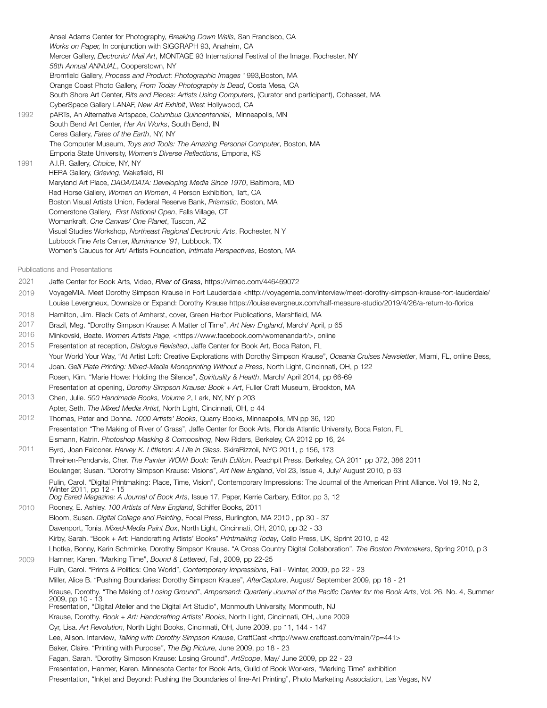Ansel Adams Center for Photography, *Breaking Down Walls*, San Francisco, CA *Works on Paper,* In conjunction with SIGGRAPH 93, Anaheim, CA Mercer Gallery, *Electronic/ Mail Art*, MONTAGE 93 International Festival of the Image, Rochester, NY *58th Annual ANNUAL*, Cooperstown, NY Bromfield Gallery, *Process and Product: Photographic Images* 1993,Boston, MA Orange Coast Photo Gallery, *From Today Photography is Dead*, Costa Mesa, CA South Shore Art Center, *Bits and Pieces: Artists Using Computers*, (Curator and participant), Cohasset, MA CyberSpace Gallery LANAF, *New Art Exhibit*, West Hollywood, CA 1992 pARTs, An Alternative Artspace, *Columbus Quincentennial*, Minneapolis, MN South Bend Art Center, *Her Art Works*, South Bend, IN Ceres Gallery, *Fates of the Earth*, NY, NY The Computer Museum, *Toys and Tools: The Amazing Personal Computer*, Boston, MA Emporia State University, *Women's Diverse Reflections*, Emporia, KS 1991 A.I.R. Gallery, *Choice*, NY, NY HERA Gallery, *Grieving*, Wakefield, RI Maryland Art Place, *DADA/DATA: Developing Media Since 1970*, Baltimore, MD Red Horse Gallery, *Women on Women*, 4 Person Exhibition, Taft, CA Boston Visual Artists Union, Federal Reserve Bank, *Prismatic*, Boston, MA Cornerstone Gallery, *First National Open*, Falls Village, CT Womankraft, *One Canvas/ One Planet*, Tuscon, AZ Visual Studies Workshop, *Northeast Regional Electronic Arts*, Rochester, N Y Lubbock Fine Arts Center, *Illuminance '91*, Lubbock, TX Women's Caucus for Art/ Artists Foundation, *Intimate Perspectives*, Boston, MA

Publications and Presentations

- Jaffe Center for Book Arts, Video, *River of Grass*, https://vimeo.com/446469072 2021
- 2019 VoyageMIA. Meet Dorothy Simpson Krause in Fort Lauderdale <http://voyagemia.com/interview/meet-dorothy-simpson-krause-fort-lauderdale/ Louise Levergneux, Downsize or Expand: Dorothy Krause https://louiselevergneux.com/half-measure-studio/2019/4/26/a-return-to-florida
- 2018 Hamilton, Jim. Black Cats of Amherst, cover, Green Harbor Publications, Marshfield, MA
- 2017 Brazil, Meg. "Dorothy Simpson Krause: A Matter of Time", *Art New England*, March/ April, p 65
- 2016 Minkovski, Beate. *Women Artists Page*, <https://www.facebook.com/womenandart/>, online

2015 2014 2013 2012 Presentation at reception, *Dialogue Revisited*, Jaffe Center for Book Art, Boca Raton, FL Your World Your Way, "At Artist Loft: Creative Explorations with Dorothy Simpson Krause", *Oceania Cruises Newsletter*, Miami, FL, online Bess, Joan. *Gelli Plate Printing: Mixed-Media Monoprinting Without a Press*, North Light, Cincinnati, OH, p 122 Rosen, Kim. "Marie Howe: Holding the Silence", *Spirituality & Health*, March/ April 2014, pp 66-69 Presentation at opening, *Dorothy Simpson Krause: Book + Art*, Fuller Craft Museum, Brockton, MA Chen, Julie. *500 Handmade Books, Volume 2*, Lark, NY, NY p 203 Apter, Seth. *The Mixed Media Artist,* North Light, Cincinnati, OH, p 44 Thomas, Peter and Donna. *1000 Artists' Books*, Quarry Books, Minneapolis, MN pp 36, 120 Presentation "The Making of River of Grass", Jaffe Center for Book Arts, Florida Atlantic University, Boca Raton, FL

- 2011 Eismann, Katrin. *Photoshop Masking & Compositing*, New Riders, Berkeley, CA 2012 pp 16, 24 Byrd, Joan Falconer. *Harvey K. Littleton: A Life in Glass*. SkiraRizzoli, NYC 2011, p 156, 173 Threinen-Pendarvis, Cher. *The Painter WOW! Book: Tenth Edition*. Peachpit Press, Berkeley, CA 2011 pp 372, 386 2011 Boulanger, Susan. "Dorothy Simpson Krause: Visions", *Art New England*, Vol 23, Issue 4, July/ August 2010, p 63 Pulin, Carol. "Digital Printmaking: Place, Time, Vision", Contemporary Impressions: The Journal of the American Print Alliance. Vol 19, No 2,
- 2010 2009 Winter 2011, pp 12 - 15 *Dog Eared Magazine: A Journal of Book Arts*, Issue 17, Paper, Kerrie Carbary, Editor, pp 3, 12 Rooney, E. Ashley. *100 Artists of New England*, Schiffer Books, 2011 Bloom, Susan. *Digital Collage and Painting*, Focal Press, Burlington, MA 2010 , pp 30 - 37 Davenport, Tonia. *Mixed-Media Paint Box*, North Light, Cincinnati, OH, 2010, pp 32 - 33 Kirby, Sarah. "Book + Art: Handcrafting Artists' Books" *Printmaking Today,* Cello Press, UK, Sprint 2010, p 42 Lhotka, Bonny, Karin Schminke, Dorothy Simpson Krause. "A Cross Country Digital Collaboration", *The Boston Printmakers*, Spring 2010, p 3 Hamner, Karen. "Marking Time", *Bound & Lettered*, Fall, 2009, pp 22-25 Pulin, Carol. "Prints & Politics: One World", *Contemporary Impressions*, Fall - Winter, 2009, pp 22 - 23 Miller, Alice B. "Pushing Boundaries: Dorothy Simpson Krause", *AfterCapture*, August/ September 2009, pp 18 - 21 Krause, Dorothy. "The Making of *Losing Ground*", *Ampersand: Quarterly Journal of the Pacific Center for the Book Arts*, Vol. 26, No. 4, Summer 2009, pp 10 - 13 Presentation, "Digital Atelier and the Digital Art Studio", Monmouth University, Monmouth, NJ Krause, Dorothy. *Book + Art: Handcrafting Artists' Books*, North Light, Cincinnati, OH, June 2009 Cyr, Lisa. *Art Revolution*, North Light Books, Cincinnati, OH, June 2009, pp 11, 144 - 147 Lee, Alison. Interview, *Talking with Dorothy Simpson Krause*, CraftCast <http://www.craftcast.com/main/?p=441> Baker, Claire. "Printing with Purpose*"*, *The Big Picture*, June 2009, pp 18 - 23 Fagan, Sarah. "Dorothy Simpson Krause: Losing Ground", *ArtScope*, May/ June 2009, pp 22 - 23 Presentation, Hanmer, Karen. Minnesota Center for Book Arts, Guild of Book Workers, "Marking Time" exhibition
	- Presentation, "Inkjet and Beyond: Pushing the Boundaries of fine-Art Printing", Photo Marketing Association, Las Vegas, NV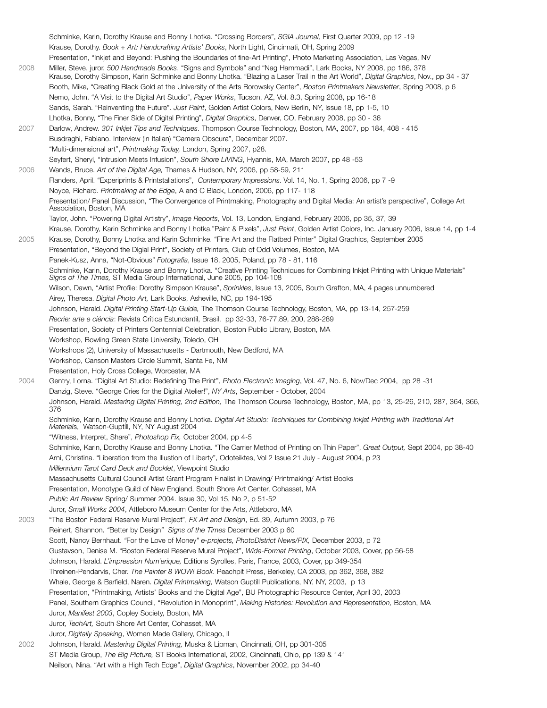Schminke, Karin, Dorothy Krause and Bonny Lhotka. "Crossing Borders", *SGIA Journal,* First Quarter 2009, pp 12 -19 Krause, Dorothy. *Book + Art: Handcrafting Artists' Books*, North Light, Cincinnati, OH, Spring 2009 Presentation, "Inkjet and Beyond: Pushing the Boundaries of fine-Art Printing", Photo Marketing Association, Las Vegas, NV 2008 Miller, Steve, juror. *500 Handmade Books*, "Signs and Symbols" and "Nag Hammadi", Lark Books, NY 2008, pp 186, 378 Krause, Dorothy Simpson, Karin Schminke and Bonny Lhotka. "Blazing a Laser Trail in the Art World", *Digital Graphics*, Nov., pp 34 - 37 Booth, Mike, "Creating Black Gold at the University of the Arts Borowsky Center", *Boston Printmakers Newsletter*, Spring 2008, p 6 Nemo, John. "A Visit to the Digital Art Studio", *Paper Works*, Tucson, AZ, Vol. 8.3, Spring 2008, pp 16-18 Sands, Sarah. "Reinventing the Future". *Just Paint*, Golden Artist Colors, New Berlin, NY, Issue 18, pp 1-5, 10 Lhotka, Bonny, "The Finer Side of Digital Printing", *Digital Graphics*, Denver, CO, February 2008, pp 30 - 36 2007 Darlow, Andrew. *301 Inkjet Tips and Techniques*. Thompson Course Technology, Boston, MA, 2007, pp 184, 408 - 415 Busdraghi, Fabiano. Interview (in Italian) "Camera Obscura", December 2007. "Multi-dimensional art", *Printmaking Today,* London, Spring 2007, p28. Seyfert, Sheryl, "Intrusion Meets Infusion", *South Shore LIVING*, Hyannis, MA, March 2007, pp 48 -53 2006 Wands, Bruce. *Art of the Digital Age,* Thames & Hudson, NY, 2006, pp 58-59, 211 Flanders, April. "Experiprints & Printstallations", *Contemporary Impressions*. Vol. 14, No. 1, Spring 2006, pp 7 -9 Noyce, Richard. *Printmaking at the Edge*, A and C Black, London, 2006, pp 117- 118 Presentation/ Panel Discussion, "The Convergence of Printmaking, Photography and Digital Media: An artist's perspective", College Art Association, Boston, MA Taylor, John. "Powering Digital Artistry", *Image Reports*, Vol. 13, London, England, February 2006, pp 35, 37, 39 Krause, Dorothy, Karin Schminke and Bonny Lhotka."Paint & Pixels", *Just Paint*, Golden Artist Colors, Inc. January 2006, Issue 14, pp 1-4 2005 Krause, Dorothy, Bonny Lhotka and Karin Schminke. "Fine Art and the Flatbed Printer" Digital Graphics, September 2005 Presentation, "Beyond the Digial Print", Society of Printers, Club of Odd Volumes, Boston, MA Panek-Kusz, Anna, "Not-Obvious" *Fotografia*, Issue 18, 2005, Poland, pp 78 - 81, 116 Schminke, Karin, Dorothy Krause and Bonny Lhotka. "Creative Printing Techniques for Combining Inkjet Printing with Unique Materials" *Signs of The Times,* ST Media Group International, June 2005, pp 104-108 Wilson, Dawn, "Artist Profile: Dorothy Simpson Krause", *Sprinkles*, Issue 13, 2005, South Grafton, MA, 4 pages unnumbered Airey, Theresa. *Digital Photo Art,* Lark Books, Asheville, NC, pp 194-195 Johnson, Harald. *Digital Printing Start-Up Guide,* The Thomson Course Technology, Boston, MA, pp 13-14, 257-259 *Recrie: arte e ciéncia*: Revista Crîtica Estundantil, Brasil, pp 32-33, 76-77,89, 200, 288-289 Presentation, Society of Printers Centennial Celebration, Boston Public Library, Boston, MA Workshop, Bowling Green State University, Toledo, OH Workshops (2), University of Massachusetts - Dartmouth, New Bedford, MA Workshop, Canson Masters Circle Summit, Santa Fe, NM Presentation, Holy Cross College, Worcester, MA 2004 Gentry, Lorna. "Digital Art Studio: Redefining The Print", *Photo Electronic Imaging*, Vol. 47, No. 6, Nov/Dec 2004, pp 28 -31 Danzig, Steve. "George Cries for the Digital Atelier!", *NY Arts*, September - October, 2004 Johnson, Harald. *Mastering Digital Printing, 2nd Edition,* The Thomson Course Technology, Boston, MA, pp 13, 25-26, 210, 287, 364, 366, 376 Schminke, Karin, Dorothy Krause and Bonny Lhotka. *Digital Art Studio: Techniques for Combining Inkjet Printing with Traditional Art Material*s, Watson-Guptill, NY, NY August 2004 "Witness, Interpret, Share", *Photoshop Fix,* October 2004*,* pp 4-5 Schminke, Karin, Dorothy Krause and Bonny Lhotka. "The Carrier Method of Printing on Thin Paper", *Great Output,* Sept 2004, pp 38-40 Arni, Christina. "Liberation from the Illustion of Liberty", Odoteiktes, Vol 2 Issue 21 July - August 2004, p 23 *Millennium Tarot Card Deck and Booklet*, Viewpoint Studio Massachusetts Cultural Council Artist Grant Program Finalist in Drawing/ Printmaking/ Artist Books Presentation, Monotype Guild of New England, South Shore Art Center, Cohasset, MA *Public Art Review* Spring/ Summer 2004. Issue 30, Vol 15, No 2, p 51-52 Juror, *Small Works 2004*, Attleboro Museum Center for the Arts, Attleboro, MA 2003 "The Boston Federal Reserve Mural Project", *FX Art and Design*, Ed. 39, Autumn 2003, p 76 Reinert, Shannon. *"*Better by Design*" Signs of the Times* December 2003 p 60 Scott, Nancy Bernhaut. *"*For the Love of Money*" e-projects, PhotoDistrict News/PIX,* December 2003, p 72 Gustavson, Denise M. "Boston Federal Reserve Mural Project", *Wide-Format Printing*, October 2003, Cover, pp 56-58 Johnson, Harald. *L'impression Num´erique,* Editions Syrolles, Paris, France, 2003, Cover, pp 349-354 Threinen-Pendarvis, Cher. *The Painter 8 WOW! Book*. Peachpit Press, Berkeley, CA 2003, pp 362, 368, 382 Whale, George & Barfield, Naren. *Digital Printmaking,* Watson Guptill Publications, NY, NY, 2003, p 13 Presentation, "Printmaking, Artists' Books and the Digital Age", BU Photographic Resource Center, April 30, 2003 Panel, Southern Graphics Council, "Revolution in Monoprint", *Making Histories: Revolution and Representation,* Boston, MA Juror, *Manifest 2003*, Copley Society, Boston, MA Juror, *TechArt,* South Shore Art Center, Cohasset, MA Juror, *Digitally Speaking*, Woman Made Gallery, Chicago, IL 2002 Johnson, Harald. *Mastering Digital Printing,* Muska & Lipman, Cincinnati, OH, pp 301-305 ST Media Group, *The Big Picture,* ST Books International, 2002, Cincinnati, Ohio, pp 139 & 141 Neilson, Nina. "Art with a High Tech Edge", *Digital Graphics*, November 2002, pp 34-40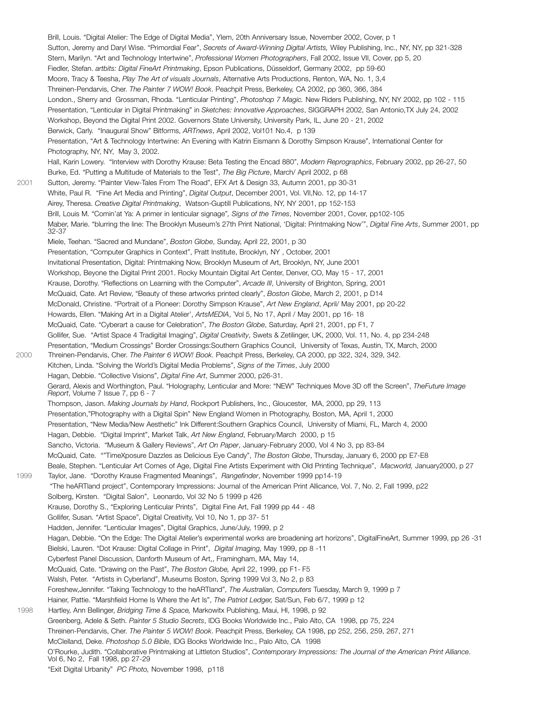Brill, Louis. "Digital Atelier: The Edge of Digital Media", Ylem, 20th Anniversary Issue, November 2002, Cover, p 1 Sutton, Jeremy and Daryl Wise. "Primordial Fear", *Secrets of Award-Winning Digital Artists,* Wiley Publishing, Inc., NY, NY, pp 321-328 Stern, Marilyn. "Art and Technology Intertwine", *Professional Women Photographers*, Fall 2002, Issue VII, Cover, pp 5, 20 Fiedler, Stefan. *artbits: Digital FineArt Printmaking*, Epson Publications, Düsseldorf, Germany 2002, pp 59-60 Moore, Tracy & Teesha, *Play The Art of visuals Journals*, Alternative Arts Productions, Renton, WA, No. 1, 3,4 Threinen-Pendarvis, Cher. *The Painter 7 WOW! Book*. Peachpit Press, Berkeley, CA 2002, pp 360, 366, 384 London., Sherry and Grossman, Rhoda. "Lenticular Printing", *Photoshop 7 Magic.* New Riders Publishing, NY, NY 2002, pp 102 - 115 Presentation, "Lenticular in Digital Printmaking" in *Sketches: Innovative Approaches*, SIGGRAPH 2002, San Antonio,TX July 24, 2002 Workshop, Beyond the Digital Print 2002. Governors State University, University Park, IL, June 20 - 21, 2002 Berwick, Carly. "Inaugural Show" Bitforms, *ARTnews*, April 2002, Vol101 No.4, p 139 Presentation, "Art & Technology Intertwine: An Evening with Katrin Eismann & Dorothy Simpson Krause", International Center for Photography, NY, NY, May 3, 2002. Hall, Karin Lowery. "Interview with Dorothy Krause: Beta Testing the Encad 880", *Modern Reprographics*, February 2002, pp 26-27, 50 Burke, Ed. "Putting a Multitude of Materials to the Test", *The Big Picture*, March/ April 2002, p 68 2001 Sutton, Jeremy. "Painter View-Tales From The Road", EFX Art & Design 33, Autumn 2001, pp 30-31 White, Paul R. "Fine Art Media and Printing", *Digital Output*, December 2001, Vol. VII,No. 12, pp 14-17 Airey, Theresa. *Creative Digital Printmaking*, Watson-Guptill Publications, NY, NY 2001, pp 152-153 Brill, Louis M. "Comin'at Ya: A primer in lenticular signage"*, Signs of the Times*, November 2001, Cover, pp102-105 Maber, Marie. "blurring the line: The Brooklyn Museum's 27th Print National, 'Digital: Printmaking Now'", *Digital Fine Arts*, Summer 2001, pp 32-37 Miele, Teehan. "Sacred and Mundane", *Boston Globe*, Sunday, April 22, 2001, p 30 Presentation, "Computer Graphics in Context", Pratt Institute, Brooklyn, NY , October, 2001 Invitational Presentation, Digital: Printmaking Now, Brooklyn Museum of Art, Brooklyn, NY, June 2001 Workshop, Beyone the Digital Print 2001. Rocky Mountain Digital Art Center, Denver, CO, May 15 - 17, 2001 Krause, Dorothy. "Reflections on Learning with the Computer", *Arcade III*, University of Brighton, Spring, 2001 McQuaid, Cate. Art Review, "Beauty of these artworks printed clearly", *Boston Globe*, March 2, 2001, p D14 McDonald, Christine. "Portrait of a Pioneer: Dorothy Simpson Krause", *Art New England*, April/ May 2001, pp 20-22 Howards, Ellen. "Making Art in a Digital Atelier', ArtsMEDIA, 'Vol 5, No 17, April / May 2001, pp 16- 18 McQuaid, Cate. "Cyberart a cause for Celebration", *The Boston Globe*, Saturday, April 21, 2001, pp F1, 7 Gollifer, Sue. "Artist Space 4 Tradigital Imaging", *Digital Creativity*, Swets & Zetilinger, UK, 2000, Vol. 11, No. 4, pp 234-248 Presentation, "Medium Crossings" Border Crossings:Southern Graphics Council, University of Texas, Austin, TX, March, 2000 2000 Threinen-Pendarvis, Cher. *The Painter 6 WOW! Book*. Peachpit Press, Berkeley, CA 2000, pp 322, 324, 329, 342. Kitchen, Linda. "Solving the World's Digital Media Problems", *Signs of the Times*, July 2000 Hagan, Debbie. "Collective Visions", *Digital Fine Art*, Summer 2000, p26-31. Gerard, Alexis and Worthington, Paul. "Holography, Lenticular and More: "NEW" Techniques Move 3D off the Screen", *TheFuture Image Report*, Volume 7 Issue 7, pp 6 - 7 Thompson, Jason. *Making Journals by Hand*, Rockport Publishers, Inc., Gloucester, MA, 2000, pp 29, 113 Presentation,"Photography with a Digital Spin" New England Women in Photography, Boston, MA, April 1, 2000 Presentation, "New Media/New Aesthetic" Ink Different:Southern Graphics Council, University of Miami, FL, March 4, 2000 Hagan, Debbie. "Digital Imprint", Market Talk, *Art New England*, February/March 2000, p 15 Sancho, Victoria. "Museum & Gallery Reviews", *Art On Paper*, January-February 2000, Vol 4 No 3, pp 83-84 McQuaid, Cate. ""TimeXposure Dazzles as Delicious Eye Candy", *The Boston Globe*, Thursday, January 6, 2000 pp E7-E8 Beale, Stephen. "Lenticular Art Comes of Age, Digital Fine Artists Experiment with Old Printing Technique", *Macworld,* January2000, p 27 1999 Taylor, Jane. "Dorothy Krause Fragmented Meanings", *Rangefinder*, November 1999 pp14-19 "The heARTland project", Contemporary Impressions: Journal of the American Print Allicance, Vol. 7, No. 2, Fall 1999, p22 Solberg, Kirsten. "Digital Salon", Leonardo, Vol 32 No 5 1999 p 426 Krause, Dorothy S., "Exploring Lenticular Prints", Digital Fine Art, Fall 1999 pp 44 - 48 Gollifer, Susan. "Artist Space", Digital Creativity, Vol 10, No 1, pp 37- 51 Hadden, Jennifer. "Lenticular Images", Digital Graphics, June/July, 1999, p 2 Hagan, Debbie. "On the Edge: The Digital Atelier's experimental works are broadening art horizons", DigitalFineArt, Summer 1999, pp 26 -31 Bielski, Lauren. "Dot Krause: Digital Collage in Print", *Digital Imaging,* May 1999, pp 8 -11 Cyberfest Panel Discussion, Danforth Museum of Art,, Framingham, MA, May 14, McQuaid, Cate. "Drawing on the Past", *The Boston Globe,* April 22, 1999, pp F1- F5 Walsh, Peter. "Artists in Cyberland", Museums Boston, Spring 1999 Vol 3, No 2, p 83 Foreshew,Jennifer. "Taking Technology to the heARTland", *The Australian, Computers* Tuesday, March 9, 1999 p 7 Hainer, Pattie. "Marshfield Home Is Where the Art Is", *The Patriot Ledger,* Sat/Sun, Feb 6/7, 1999 p 12 1998 Hartley, Ann Bellinger, *Bridging Time & Space,* Markowitx Publishing, Maui, HI, 1998, p 92 Greenberg, Adele & Seth. *Painter 5 Studio Secrets*, IDG Books Worldwide Inc., Palo Alto, CA 1998, pp 75, 224 Threinen-Pendarvis, Cher. *The Painter 5 WOW! Book*. Peachpit Press, Berkeley, CA 1998, pp 252, 256, 259, 267, 271 McClelland, Deke. *Photoshop 5.0 Bible*, IDG Books Worldwide Inc., Palo Alto, CA 1998 O'Rourke, Judith. "Collaborative Printmaking at Littleton Studios", *Contemporary Impressions: The Journal of the American Print Alliance*. Vol 6, No 2, Fall 1998, pp 27-29 "Exit Digital Urbanity" *PC Photo,* November 1998, p118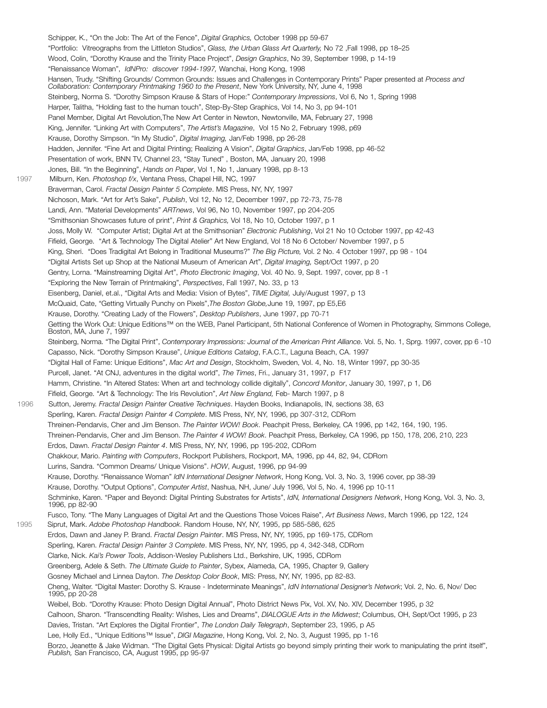Schipper, K., "On the Job: The Art of the Fence", *Digital Graphics,* October 1998 pp 59-67 "Portfolio: Vitreographs from the Littleton Studios", *Glass, the Urban Glass Art Quarterly,* No 72 ,Fall 1998, pp 18–25 Wood, Colin, "Dorothy Krause and the Trinity Place Project", *Design Graphics*, No 39, September 1998, p 14-19 "Renaissance Woman", *IdNPro: discover 1994-1997,* Wanchai, Hong Kong, 1998 Hansen, Trudy. "Shifting Grounds/ Common Grounds: Issues and Challenges in Contemporary Prints" Paper presented at *Process and Collaboration: Contemporary Printmaking 1960 to the Present*, New York University, NY, June 4, 1998 Steinberg, Norma S. "Dorothy Simpson Krause & Stars of Hope:" *Contemporary Impressions*, Vol 6, No 1, Spring 1998 Harper, Talitha, "Holding fast to the human touch", Step-By-Step Graphics, Vol 14, No 3, pp 94-101 Panel Member, Digital Art Revolution,The New Art Center in Newton, Newtonville, MA, February 27, 1998 King, Jennifer. "Linking Art with Computers", *The Artist's Magazine*, Vol 15 No 2, February 1998, p69 Krause, Dorothy Simpson. "In My Studio", *Digital Imaging,* Jan/Feb 1998, pp 26-28 Hadden, Jennifer. "Fine Art and Digital Printing; Realizing A Vision", *Digital Graphics*, Jan/Feb 1998, pp 46-52 Presentation of work, BNN TV, Channel 23, "Stay Tuned" , Boston, MA, January 20, 1998 Jones, Bill. "In the Beginning", *Hands on Paper*, Vol 1, No 1, January 1998, pp 8-13 1997 Milburn, Ken. *Photoshop f/x*, Ventana Press, Chapel Hill, NC, 1997 Braverman, Carol. *Fractal Design Painter 5 Complete*. MIS Press, NY, NY, 1997 Nichoson, Mark. "Art for Art's Sake", *Publish*, Vol 12, No 12, December 1997, pp 72-73, 75-78 Landi, Ann. "Material Developments" *ARTnews*, Vol 96, No 10, November 1997, pp 204-205 "Smithsonian Showcases future of print", *Print & Graphics,* Vol 18, No 10, October 1997, p 1 Joss, Molly W. "Computer Artist; Digital Art at the Smithsonian" *Electronic Publishing*, Vol 21 No 10 October 1997, pp 42-43 Fifield, George. "Art & Technology The Digital Atelier" Art New England, Vol 18 No 6 October/ November 1997, p 5 King, Sheri. "Does Tradigital Art Belong in Traditional Museums?" *The Big Picture,* Vol. 2 No. 4 October 1997, pp 98 - 104 "Digital Artists Set up Shop at the National Museum of American Art", *Digital Imaging,* Sept/Oct 1997, p 20 Gentry, Lorna. "Mainstreaming Digital Art", *Photo Electronic Imaging*, Vol. 40 No. 9, Sept. 1997, cover, pp 8 -1 "Exploring the New Terrain of Printmaking", *Perspectives*, Fall 1997, No. 33, p 13 Eisenberg, Daniel, et.al., "Digital Arts and Media: Vision of Bytes", *TIME Digital,* July/August 1997, p 13 McQuaid, Cate, "Getting Virtually Punchy on Pixels",*The Boston Globe,*June 19, 1997, pp E5,E6 Krause, Dorothy. "Creating Lady of the Flowers", *Desktop Publishers*, June 1997, pp 70-71 Getting the Work Out: Unique Editions™ on the WEB, Panel Participant, 5th National Conference of Women in Photography, Simmons College, Boston, MA, June 7, 1997 Steinberg, Norma. "The Digital Print", *Contemporary Impressions: Journal of the American Print Alliance*. Vol. 5, No. 1, Sprg. 1997, cover, pp 6 -10 Capasso, Nick. "Dorothy Simpson Krause", *Unique Editions Catalog*, F.A.C.T., Laguna Beach, CA. 1997 "Digital Hall of Fame: Unique Editions", *Mac Art and Design*, Stockholm, Sweden, Vol. 4, No. 18, Winter 1997, pp 30-35 Purcell, Janet. "At CNJ, adventures in the digital world", *The Times*, Fri., January 31, 1997, p F17 Hamm, Christine. "In Altered States: When art and technology collide digitally", *Concord Monitor*, January 30, 1997, p 1, D6 Fifield, George. "Art & Technology: The Iris Revolution", *Art New England,* Feb- March 1997, p 8 1996 Sutton, Jeremy. *Fractal Design Painter Creative Techniques*. Hayden Books, Indianapolis, IN, sections 38, 63 Sperling, Karen. *Fractal Design Painter 4 Complete*. MIS Press, NY, NY, 1996, pp 307-312, CDRom Threinen-Pendarvis, Cher and Jim Benson. *The Painter WOW! Book*. Peachpit Press, Berkeley, CA 1996, pp 142, 164, 190, 195. Threinen-Pendarvis, Cher and Jim Benson. *The Painter 4 WOW! Book*. Peachpit Press, Berkeley, CA 1996, pp 150, 178, 206, 210, 223 Erdos, Dawn. *Fractal Design Painter 4*. MIS Press, NY, NY, 1996, pp 195-202, CDRom Chakkour, Mario. *Painting with Computers*, Rockport Publishers, Rockport, MA, 1996, pp 44, 82, 94, CDRom Lurins, Sandra. "Common Dreams/ Unique Visions". *HOW*, August, 1996, pp 94-99 Krause, Dorothy. "Renaissance Woman" *IdN International Designer Network*, Hong Kong, Vol. 3, No. 3, 1996 cover, pp 38-39 Krause, Dorothy. "Output Options", *Computer Artist*, Nashua, NH, June/ July 1996, Vol 5, No. 4, 1996 pp 10-11 Schminke, Karen. "Paper and Beyond: Digital Printing Substrates for Artists", *IdN, International Designers Network*, Hong Kong, Vol. 3, No. 3, 1996, pp 82-90 Fusco, Tony. "The Many Languages of Digital Art and the Questions Those Voices Raise", *Art Business News*, March 1996, pp 122, 124 1995 Siprut, Mark. *Adobe Photoshop Handbook*. Random House, NY, NY, 1995, pp 585-586, 625 Erdos, Dawn and Janey P. Brand. *Fractal Design Painter*. MIS Press, NY, NY, 1995, pp 169-175, CDRom Sperling, Karen. *Fractal Design Painter 3 Complete*. MIS Press, NY, NY, 1995, pp 4, 342-348, CDRom Clarke, Nick. *Kai's Power Tools*, Addison-Wesley Publishers Ltd., Berkshire, UK, 1995, CDRom Greenberg, Adele & Seth. *The Ultimate Guide to Painter*, Sybex, Alameda, CA, 1995, Chapter 9, Gallery Gosney Michael and Linnea Dayton. *The Desktop Color Book*, MIS: Press, NY, NY, 1995, pp 82-83. Cheng, Walter. "Digital Master: Dorothy S. Krause - Indeterminate Meanings", *IdN International Designer's Network*; Vol. 2, No. 6, Nov/ Dec 1995, pp 20-28 Weibel, Bob. "Dorothy Krause: Photo Design Digital Annual", Photo District News Pix, Vol. XV, No. XIV, December 1995, p 32 Calhoon, Sharon. "Transcendting Reality: Wishes, Lies and Dreams", *DIALOGUE Arts in the Midwest*; Columbus, OH, Sept/Oct 1995, p 23 Davies, Tristan. "Art Explores the Digital Frontier", *The London Daily Telegraph*, September 23, 1995, p A5 Lee, Holly Ed., "Unique Editions™ Issue", *DIGI Magazine*, Hong Kong, Vol. 2, No. 3, August 1995, pp 1-16 Borzo, Jeanette & Jake Widman. "The Digital Gets Physical: Digital Artists go beyond simply printing their work to manipulating the print itself", *Publish,* San Francisco, CA, August 1995, pp 95-97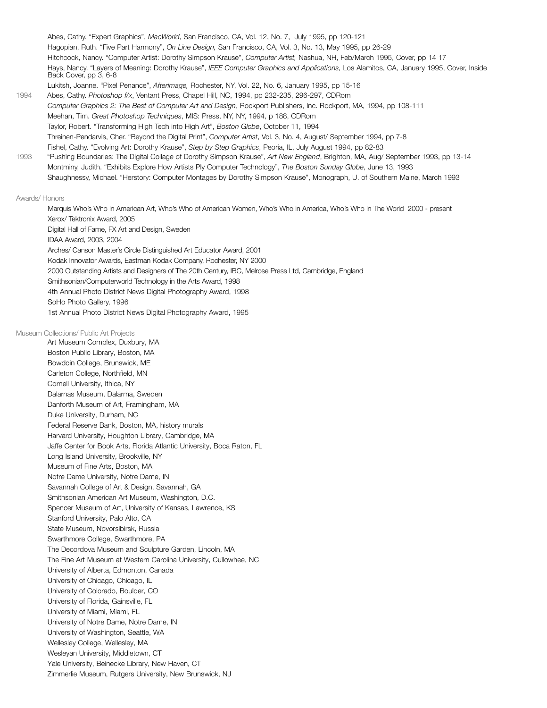Abes, Cathy. "Expert Graphics", *MacWorld*, San Francisco, CA, Vol. 12, No. 7, July 1995, pp 120-121 Hagopian, Ruth. "Five Part Harmony", *On Line Design,* San Francisco, CA, Vol. 3, No. 13, May 1995, pp 26-29 Hitchcock, Nancy. "Computer Artist: Dorothy Simpson Krause", *Computer Artist,* Nashua, NH, Feb/March 1995, Cover, pp 14 17 Hays, Nancy. "Layers of Meaning: Dorothy Krause", *IEEE Computer Graphics and Applications,* Los Alamitos, CA, January 1995, Cover, Inside Back Cover, pp 3, 6-8 Lukitsh, Joanne. "Pixel Penance", *Afterimage,* Rochester, NY, Vol. 22, No. 6, January 1995, pp 15-16 1994 Abes, Cathy. *Photoshop f/x*, Ventant Press, Chapel Hill, NC, 1994, pp 232-235, 296-297, CDRom *Computer Graphics 2: The Best of Computer Art and Design*, Rockport Publishers, Inc. Rockport, MA, 1994, pp 108-111 Meehan, Tim. *Great Photoshop Techniques*, MIS: Press, NY, NY, 1994, p 188, CDRom Taylor, Robert. "Transforming High Tech into High Art", *Boston Globe*, October 11, 1994 Threinen-Pendarvis, Cher. "Beyond the Digital Print", *Computer Artist*, Vol. 3, No. 4, August/ September 1994, pp 7-8 Fishel, Cathy. "Evolving Art: Dorothy Krause", *Step by Step Graphics*, Peoria, IL, July August 1994, pp 82-83 1993 "Pushing Boundaries: The Digital Collage of Dorothy Simpson Krause", *Art New England*, Brighton, MA, Aug/ September 1993, pp 13-14 Montminy, Judith. "Exhibits Explore How Artists Ply Computer Technology", *The Boston Sunday Globe*, June 13, 1993 Shaughnessy, Michael. "Herstory: Computer Montages by Dorothy Simpson Krause", Monograph, U. of Southern Maine, March 1993

#### Awards/ Honors

 Marquis Who's Who in American Art, Who's Who of American Women, Who's Who in America, Who's Who in The World 2000 - present Xerox/ Tektronix Award, 2005 Digital Hall of Fame, FX Art and Design, Sweden IDAA Award, 2003, 2004 Arches/ Canson Master's Circle Distinguished Art Educator Award, 2001 Kodak Innovator Awards, Eastman Kodak Company, Rochester, NY 2000 2000 Outstanding Artists and Designers of The 20th Century, IBC, Melrose Press Ltd, Cambridge, England Smithsonian/Computerworld Technology in the Arts Award, 1998 4th Annual Photo District News Digital Photography Award, 1998 SoHo Photo Gallery, 1996 1st Annual Photo District News Digital Photography Award, 1995

# Museum Collections/ Public Art Projects

Art Museum Complex, Duxbury, MA Boston Public Library, Boston, MA Bowdoin College, Brunswick, ME Carleton College, Northfield, MN Cornell University, Ithica, NY Dalarnas Museum, Dalarma, Sweden Danforth Museum of Art, Framingham, MA Duke University, Durham, NC Federal Reserve Bank, Boston, MA, history murals Harvard University, Houghton Library, Cambridge, MA Jaffe Center for Book Arts, Florida Atlantic University, Boca Raton, FL Long Island University, Brookville, NY Museum of Fine Arts, Boston, MA Notre Dame University, Notre Dame, IN Savannah College of Art & Design, Savannah, GA Smithsonian American Art Museum, Washington, D.C. Spencer Museum of Art, University of Kansas, Lawrence, KS Stanford University, Palo Alto, CA State Museum, Novorsibirsk, Russia Swarthmore College, Swarthmore, PA The Decordova Museum and Sculpture Garden, Lincoln, MA The Fine Art Museum at Western Carolina University, Cullowhee, NC University of Alberta, Edmonton, Canada University of Chicago, Chicago, IL University of Colorado, Boulder, CO University of Florida, Gainsville, FL University of Miami, Miami, FL University of Notre Dame, Notre Dame, IN University of Washington, Seattle, WA Wellesley College, Wellesley, MA Wesleyan University, Middletown, CT Yale University, Beinecke Library, New Haven, CT Zimmerlie Museum, Rutgers University, New Brunswick, NJ